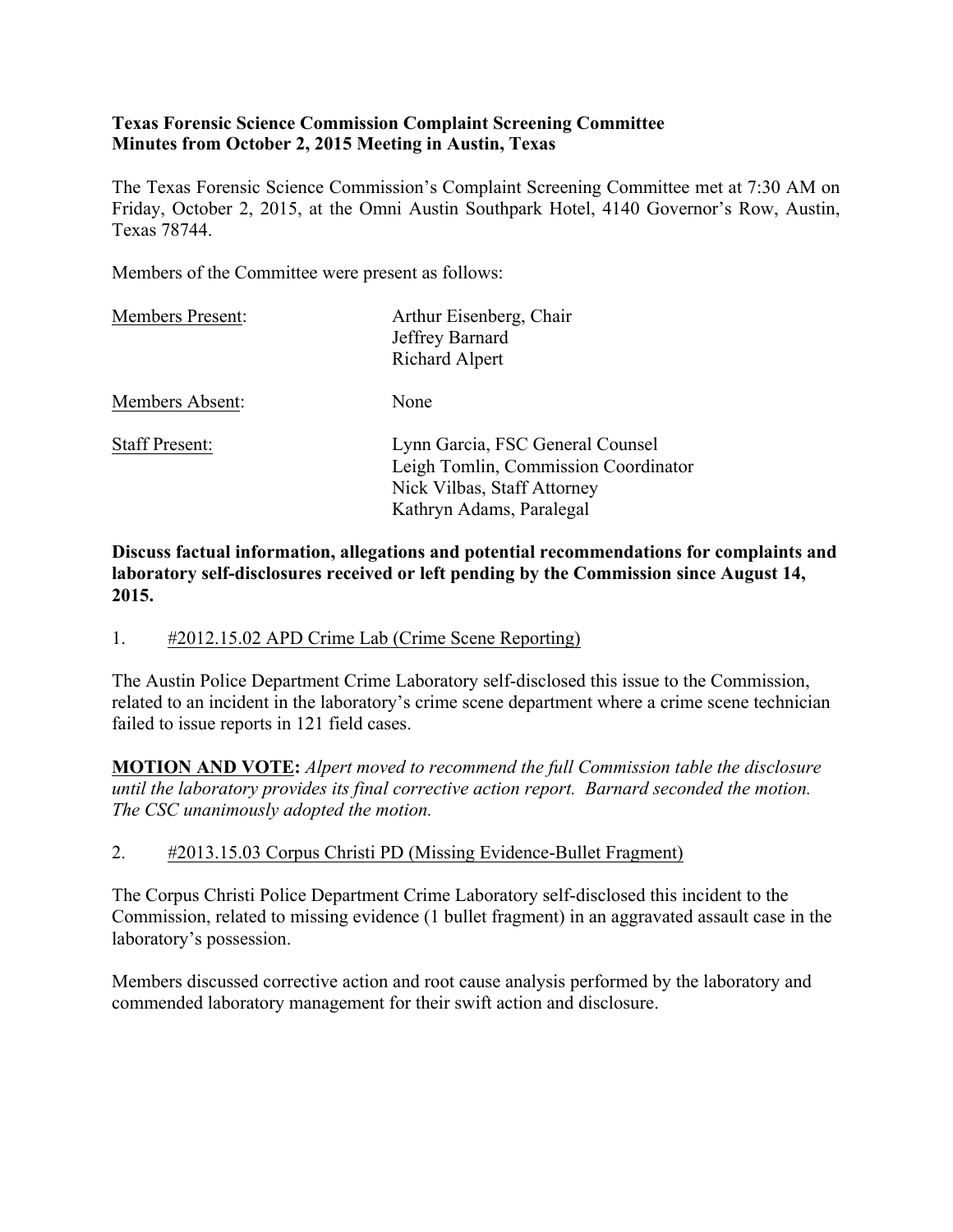#### **Texas Forensic Science Commission Complaint Screening Committee Minutes from October 2, 2015 Meeting in Austin, Texas**

The Texas Forensic Science Commission's Complaint Screening Committee met at 7:30 AM on Friday, October 2, 2015, at the Omni Austin Southpark Hotel, 4140 Governor's Row, Austin, Texas 78744.

Members of the Committee were present as follows:

| <b>Members Present:</b> | Arthur Eisenberg, Chair<br>Jeffrey Barnard<br>Richard Alpert                                                                        |
|-------------------------|-------------------------------------------------------------------------------------------------------------------------------------|
| Members Absent:         | None                                                                                                                                |
| <b>Staff Present:</b>   | Lynn Garcia, FSC General Counsel<br>Leigh Tomlin, Commission Coordinator<br>Nick Vilbas, Staff Attorney<br>Kathryn Adams, Paralegal |

**Discuss factual information, allegations and potential recommendations for complaints and laboratory self-disclosures received or left pending by the Commission since August 14, 2015.**

### 1. #2012.15.02 APD Crime Lab (Crime Scene Reporting)

The Austin Police Department Crime Laboratory self-disclosed this issue to the Commission, related to an incident in the laboratory's crime scene department where a crime scene technician failed to issue reports in 121 field cases.

**MOTION AND VOTE:** *Alpert moved to recommend the full Commission table the disclosure until the laboratory provides its final corrective action report. Barnard seconded the motion. The CSC unanimously adopted the motion.*

### 2. #2013.15.03 Corpus Christi PD (Missing Evidence-Bullet Fragment)

The Corpus Christi Police Department Crime Laboratory self-disclosed this incident to the Commission, related to missing evidence (1 bullet fragment) in an aggravated assault case in the laboratory's possession.

Members discussed corrective action and root cause analysis performed by the laboratory and commended laboratory management for their swift action and disclosure.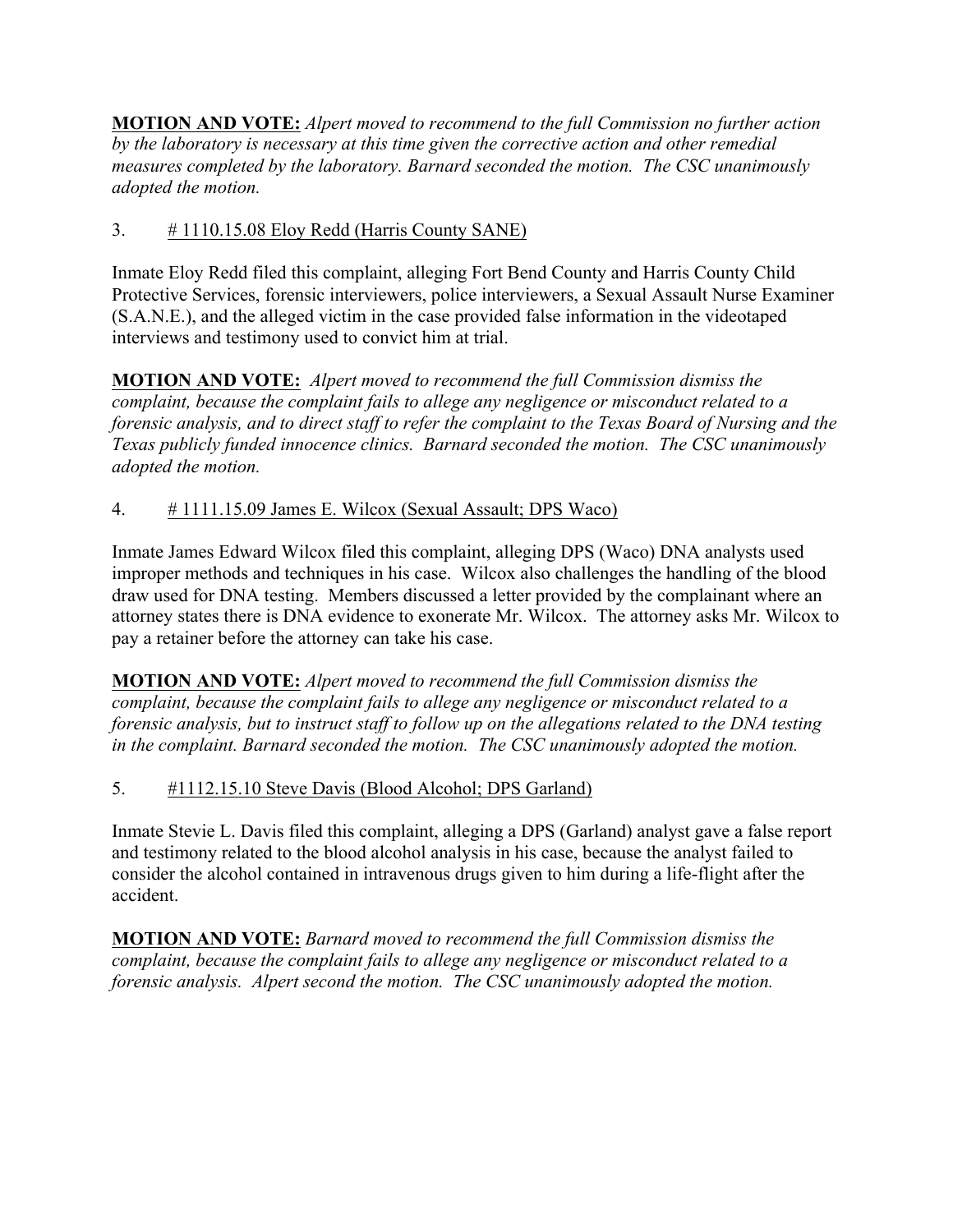**MOTION AND VOTE:** *Alpert moved to recommend to the full Commission no further action by the laboratory is necessary at this time given the corrective action and other remedial measures completed by the laboratory. Barnard seconded the motion. The CSC unanimously adopted the motion.*

# 3. # 1110.15.08 Eloy Redd (Harris County SANE)

Inmate Eloy Redd filed this complaint, alleging Fort Bend County and Harris County Child Protective Services, forensic interviewers, police interviewers, a Sexual Assault Nurse Examiner (S.A.N.E.), and the alleged victim in the case provided false information in the videotaped interviews and testimony used to convict him at trial.

**MOTION AND VOTE:** *Alpert moved to recommend the full Commission dismiss the complaint, because the complaint fails to allege any negligence or misconduct related to a forensic analysis, and to direct staff to refer the complaint to the Texas Board of Nursing and the Texas publicly funded innocence clinics. Barnard seconded the motion. The CSC unanimously adopted the motion.*

## 4. # 1111.15.09 James E. Wilcox (Sexual Assault; DPS Waco)

Inmate James Edward Wilcox filed this complaint, alleging DPS (Waco) DNA analysts used improper methods and techniques in his case. Wilcox also challenges the handling of the blood draw used for DNA testing. Members discussed a letter provided by the complainant where an attorney states there is DNA evidence to exonerate Mr. Wilcox. The attorney asks Mr. Wilcox to pay a retainer before the attorney can take his case.

**MOTION AND VOTE:** *Alpert moved to recommend the full Commission dismiss the complaint, because the complaint fails to allege any negligence or misconduct related to a forensic analysis, but to instruct staff to follow up on the allegations related to the DNA testing in the complaint. Barnard seconded the motion. The CSC unanimously adopted the motion.*

## 5. #1112.15.10 Steve Davis (Blood Alcohol; DPS Garland)

Inmate Stevie L. Davis filed this complaint, alleging a DPS (Garland) analyst gave a false report and testimony related to the blood alcohol analysis in his case, because the analyst failed to consider the alcohol contained in intravenous drugs given to him during a life-flight after the accident.

**MOTION AND VOTE:** *Barnard moved to recommend the full Commission dismiss the complaint, because the complaint fails to allege any negligence or misconduct related to a forensic analysis. Alpert second the motion. The CSC unanimously adopted the motion.*